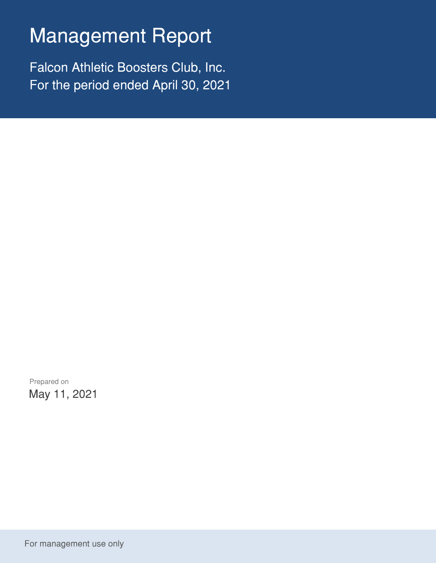## Management Report

Falcon Athletic Boosters Club, Inc. For the period ended April 30, 2021

Prepared on May 11, 2021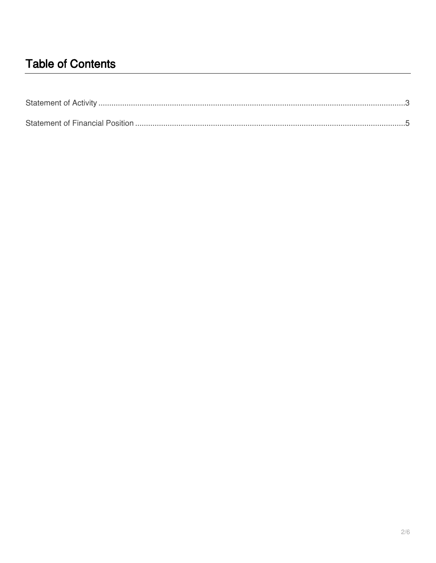## **Table of Contents**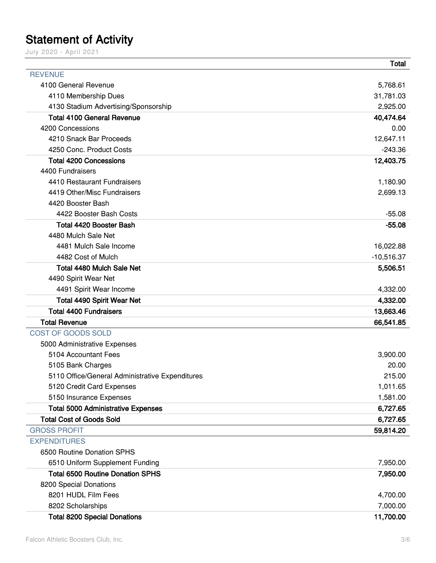## <span id="page-2-0"></span>**Statement of Activity**

July 2020 - April 2021

|                                                 | Total        |
|-------------------------------------------------|--------------|
| <b>REVENUE</b>                                  |              |
| 4100 General Revenue                            | 5,768.61     |
| 4110 Membership Dues                            | 31,781.03    |
| 4130 Stadium Advertising/Sponsorship            | 2,925.00     |
| <b>Total 4100 General Revenue</b>               | 40,474.64    |
| 4200 Concessions                                | 0.00         |
| 4210 Snack Bar Proceeds                         | 12,647.11    |
| 4250 Conc. Product Costs                        | $-243.36$    |
| <b>Total 4200 Concessions</b>                   | 12,403.75    |
| 4400 Fundraisers                                |              |
| 4410 Restaurant Fundraisers                     | 1,180.90     |
| 4419 Other/Misc Fundraisers                     | 2,699.13     |
| 4420 Booster Bash                               |              |
| 4422 Booster Bash Costs                         | $-55.08$     |
| <b>Total 4420 Booster Bash</b>                  | $-55.08$     |
| 4480 Mulch Sale Net                             |              |
| 4481 Mulch Sale Income                          | 16,022.88    |
| 4482 Cost of Mulch                              | $-10,516.37$ |
| Total 4480 Mulch Sale Net                       | 5,506.51     |
| 4490 Spirit Wear Net                            |              |
| 4491 Spirit Wear Income                         | 4,332.00     |
| <b>Total 4490 Spirit Wear Net</b>               | 4,332.00     |
| <b>Total 4400 Fundraisers</b>                   | 13,663.46    |
| <b>Total Revenue</b>                            | 66,541.85    |
| COST OF GOODS SOLD                              |              |
| 5000 Administrative Expenses                    |              |
| 5104 Accountant Fees                            | 3,900.00     |
| 5105 Bank Charges                               | 20.00        |
| 5110 Office/General Administrative Expenditures | 215.00       |
| 5120 Credit Card Expenses                       | 1,011.65     |
| 5150 Insurance Expenses                         | 1,581.00     |
| <b>Total 5000 Administrative Expenses</b>       | 6,727.65     |
| <b>Total Cost of Goods Sold</b>                 | 6,727.65     |
| <b>GROSS PROFIT</b>                             | 59,814.20    |
| <b>EXPENDITURES</b>                             |              |
| 6500 Routine Donation SPHS                      |              |
| 6510 Uniform Supplement Funding                 | 7,950.00     |
| <b>Total 6500 Routine Donation SPHS</b>         | 7,950.00     |
| 8200 Special Donations                          |              |
| 8201 HUDL Film Fees                             | 4,700.00     |
| 8202 Scholarships                               | 7,000.00     |
| <b>Total 8200 Special Donations</b>             | 11,700.00    |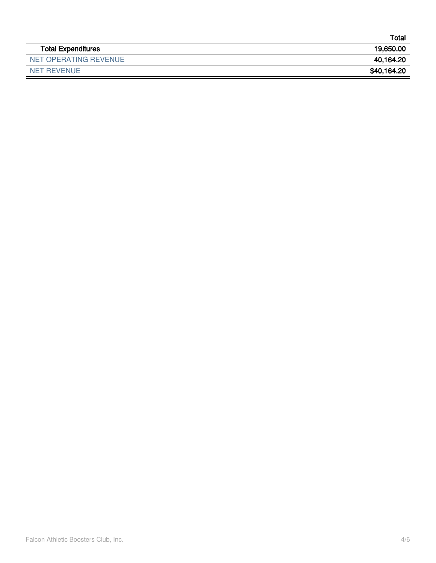|                           | Totai       |
|---------------------------|-------------|
| <b>Total Expenditures</b> | 19,650.00   |
| NET OPERATING REVENUE     | 40,164.20   |
| NET REVENUE               | \$40,164.20 |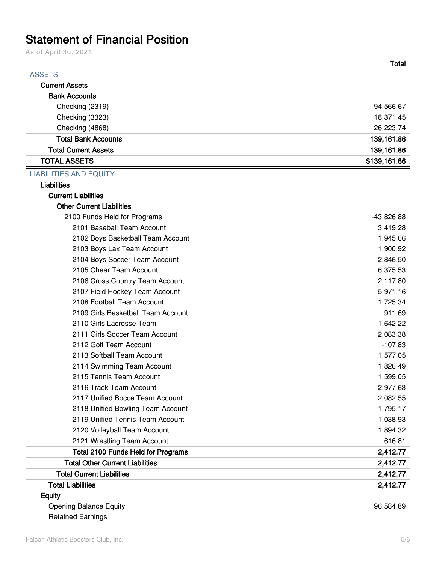## <span id="page-4-0"></span>Statement of Financial Position

As of April 30, 2021

| <b>ASSETS</b>                          |              |
|----------------------------------------|--------------|
| <b>Current Assets</b>                  |              |
| <b>Bank Accounts</b>                   |              |
| Checking (2319)                        | 94,566.67    |
| Checking (3323)                        | 18,371.45    |
| Checking (4868)                        | 26,223.74    |
| <b>Total Bank Accounts</b>             | 139,161.86   |
| <b>Total Current Assets</b>            | 139,161.86   |
| <b>TOTAL ASSETS</b>                    | \$139,161.86 |
| <b>LIABILITIES AND EQUITY</b>          |              |
| <b>Liabilities</b>                     |              |
| <b>Current Liabilities</b>             |              |
| <b>Other Current Liabilities</b>       |              |
| 2100 Funds Held for Programs           | $-43,826.88$ |
| 2101 Baseball Team Account             | 3,419.28     |
| 2102 Boys Basketball Team Account      | 1,945.66     |
| 2103 Boys Lax Team Account             | 1,900.92     |
| 2104 Boys Soccer Team Account          | 2,846.50     |
| 2105 Cheer Team Account                | 6,375.53     |
| 2106 Cross Country Team Account        | 2,117.80     |
| 2107 Field Hockey Team Account         | 5,971.16     |
| 2108 Football Team Account             | 1,725.34     |
| 2109 Girls Basketball Team Account     | 911.69       |
| 2110 Girls Lacrosse Team               | 1,642.22     |
| 2111 Girls Soccer Team Account         | 2,083.38     |
| 2112 Golf Team Account                 | $-107.83$    |
| 2113 Softball Team Account             | 1,577.05     |
| 2114 Swimming Team Account             | 1,826.49     |
| 2115 Tennis Team Account               | 1,599.05     |
| 2116 Track Team Account                | 2,977.63     |
| 2117 Unified Bocce Team Account        | 2,082.55     |
| 2118 Unified Bowling Team Account      | 1,795.17     |
| 2119 Unified Tennis Team Account       | 1,038.93     |
| 2120 Volleyball Team Account           | 1,894.32     |
| 2121 Wrestling Team Account            | 616.81       |
| Total 2100 Funds Held for Programs     | 2,412.77     |
| <b>Total Other Current Liabilities</b> | 2,412.77     |
| <b>Total Current Liabilities</b>       | 2,412.77     |
| <b>Total Liabilities</b>               | 2,412.77     |
| <b>Equity</b>                          |              |
| <b>Opening Balance Equity</b>          | 96,584.89    |
| <b>Retained Earnings</b>               |              |